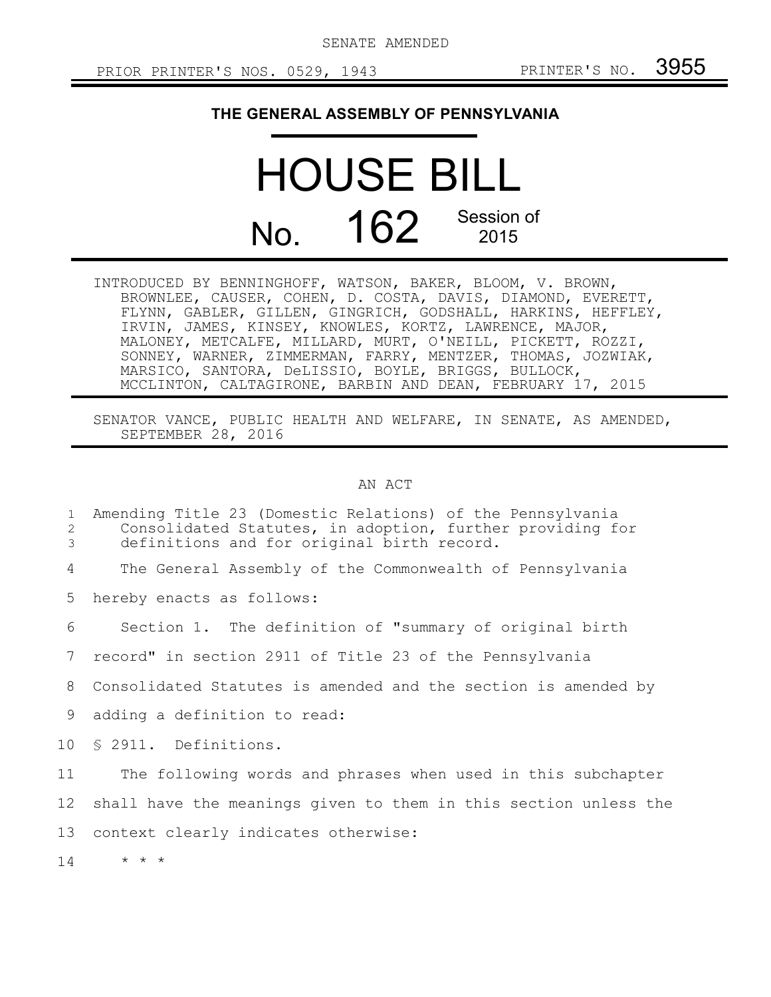SENATE AMENDED

## **THE GENERAL ASSEMBLY OF PENNSYLVANIA**

## HOUSE BILL No. 162 Session of 2015

INTRODUCED BY BENNINGHOFF, WATSON, BAKER, BLOOM, V. BROWN, BROWNLEE, CAUSER, COHEN, D. COSTA, DAVIS, DIAMOND, EVERETT, FLYNN, GABLER, GILLEN, GINGRICH, GODSHALL, HARKINS, HEFFLEY, IRVIN, JAMES, KINSEY, KNOWLES, KORTZ, LAWRENCE, MAJOR, MALONEY, METCALFE, MILLARD, MURT, O'NEILL, PICKETT, ROZZI, SONNEY, WARNER, ZIMMERMAN, FARRY, MENTZER, THOMAS, JOZWIAK, MARSICO, SANTORA, DeLISSIO, BOYLE, BRIGGS, BULLOCK, MCCLINTON, CALTAGIRONE, BARBIN AND DEAN, FEBRUARY 17, 2015

SENATOR VANCE, PUBLIC HEALTH AND WELFARE, IN SENATE, AS AMENDED, SEPTEMBER 28, 2016

AN ACT

| $\mathbf{1}$<br>2<br>3 | Amending Title 23 (Domestic Relations) of the Pennsylvania<br>Consolidated Statutes, in adoption, further providing for<br>definitions and for original birth record. |
|------------------------|-----------------------------------------------------------------------------------------------------------------------------------------------------------------------|
| 4                      | The General Assembly of the Commonwealth of Pennsylvania                                                                                                              |
| 5                      | hereby enacts as follows:                                                                                                                                             |
| 6                      | Section 1. The definition of "summary of original birth                                                                                                               |
| 7                      | record" in section 2911 of Title 23 of the Pennsylvania                                                                                                               |
| 8                      | Consolidated Statutes is amended and the section is amended by                                                                                                        |
| 9                      | adding a definition to read:                                                                                                                                          |
| 10                     | \$ 2911. Definitions.                                                                                                                                                 |
| 11                     | The following words and phrases when used in this subchapter                                                                                                          |
| 12                     | shall have the meanings given to them in this section unless the                                                                                                      |
| 13                     | context clearly indicates otherwise:                                                                                                                                  |
| 14                     | $\star$ $\star$ $\star$                                                                                                                                               |
|                        |                                                                                                                                                                       |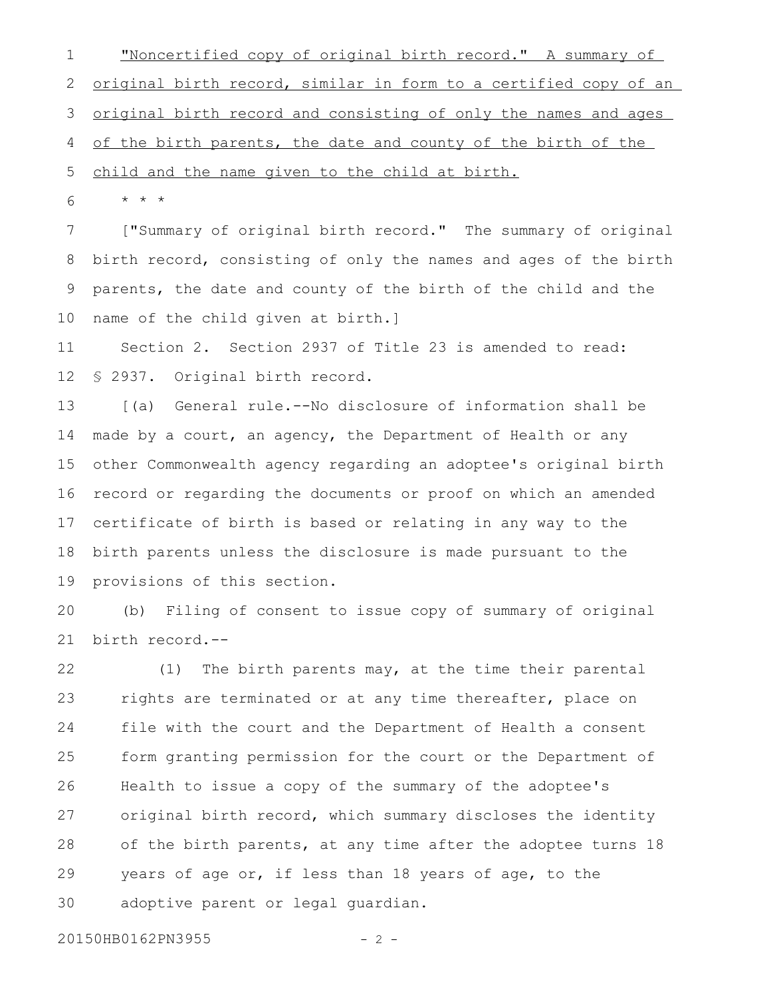"Noncertified copy of original birth record." A summary of original birth record, similar in form to a certified copy of an original birth record and consisting of only the names and ages of the birth parents, the date and county of the birth of the 1 2 3 4

child and the name given to the child at birth. 5

\* \* \* 6

["Summary of original birth record." The summary of original birth record, consisting of only the names and ages of the birth parents, the date and county of the birth of the child and the name of the child given at birth.] 7 8 9 10

Section 2. Section 2937 of Title 23 is amended to read: § 2937. Original birth record. 11 12

[(a) General rule.--No disclosure of information shall be made by a court, an agency, the Department of Health or any other Commonwealth agency regarding an adoptee's original birth record or regarding the documents or proof on which an amended certificate of birth is based or relating in any way to the birth parents unless the disclosure is made pursuant to the provisions of this section. 13 14 15 16 17 18 19

(b) Filing of consent to issue copy of summary of original birth record.-- 20 21

(1) The birth parents may, at the time their parental rights are terminated or at any time thereafter, place on file with the court and the Department of Health a consent form granting permission for the court or the Department of Health to issue a copy of the summary of the adoptee's original birth record, which summary discloses the identity of the birth parents, at any time after the adoptee turns 18 years of age or, if less than 18 years of age, to the adoptive parent or legal guardian. 22 23 24 25 26 27 28 29 30

20150HB0162PN3955 - 2 -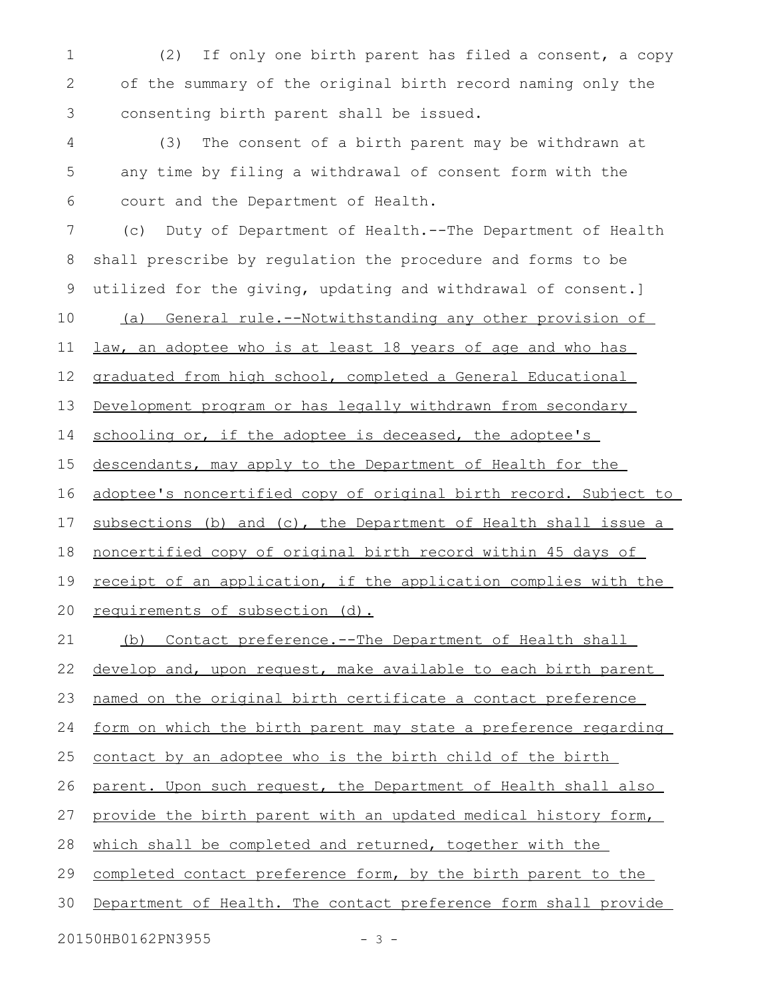(2) If only one birth parent has filed a consent, a copy of the summary of the original birth record naming only the consenting birth parent shall be issued. (3) The consent of a birth parent may be withdrawn at any time by filing a withdrawal of consent form with the court and the Department of Health. (c) Duty of Department of Health.--The Department of Health shall prescribe by regulation the procedure and forms to be utilized for the giving, updating and withdrawal of consent.] (a) General rule.--Notwithstanding any other provision of law, an adoptee who is at least 18 years of age and who has graduated from high school, completed a General Educational Development program or has legally withdrawn from secondary schooling or, if the adoptee is deceased, the adoptee's descendants, may apply to the Department of Health for the adoptee's noncertified copy of original birth record. Subject to subsections (b) and (c), the Department of Health shall issue a noncertified copy of original birth record within 45 days of receipt of an application, if the application complies with the requirements of subsection (d). (b) Contact preference.--The Department of Health shall develop and, upon request, make available to each birth parent named on the original birth certificate a contact preference form on which the birth parent may state a preference regarding contact by an adoptee who is the birth child of the birth parent. Upon such request, the Department of Health shall also provide the birth parent with an updated medical history form, which shall be completed and returned, together with the completed contact preference form, by the birth parent to the Department of Health. The contact preference form shall provide 1 2 3 4 5 6 7 8 9 10 11 12 13 14 15 16 17 18 19 20 21 22 23 24 25 26 27 28 29 30

20150HB0162PN3955 - 3 -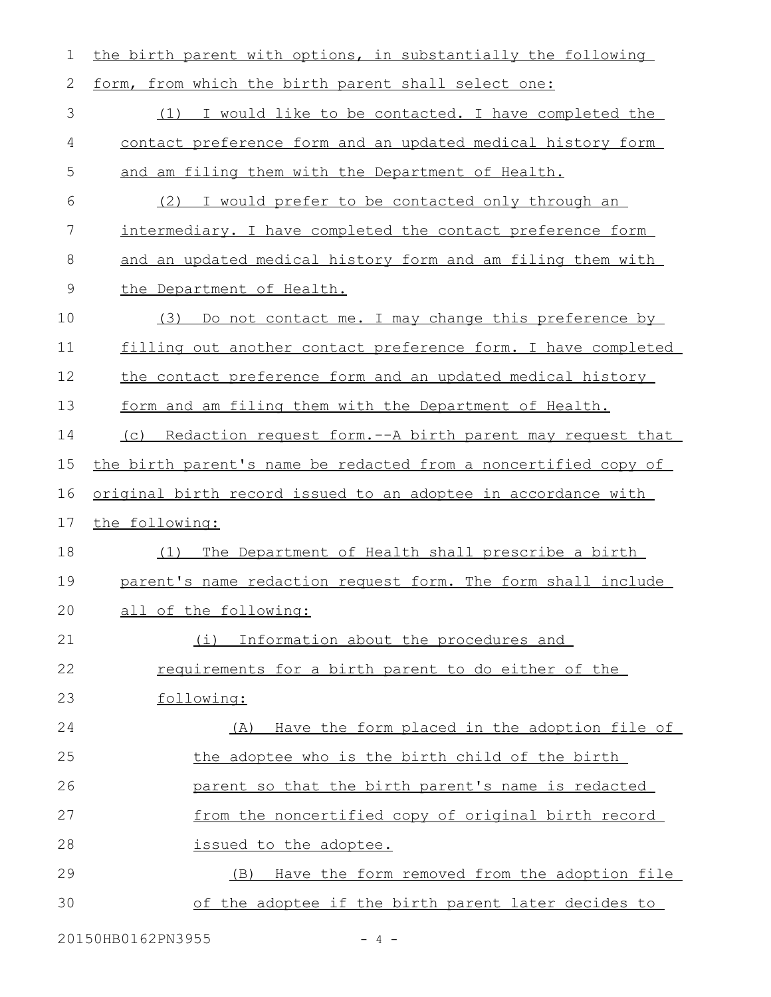the birth parent with options, in substantially the following form, from which the birth parent shall select one: (1) I would like to be contacted. I have completed the contact preference form and an updated medical history form and am filing them with the Department of Health. (2) I would prefer to be contacted only through an intermediary. I have completed the contact preference form and an updated medical history form and am filing them with the Department of Health. (3) Do not contact me. I may change this preference by filling out another contact preference form. I have completed the contact preference form and an updated medical history form and am filing them with the Department of Health. (c) Redaction request form.--A birth parent may request that the birth parent's name be redacted from a noncertified copy of original birth record issued to an adoptee in accordance with the following: (1) The Department of Health shall prescribe a birth parent's name redaction request form. The form shall include all of the following: (i) Information about the procedures and requirements for a birth parent to do either of the following: (A) Have the form placed in the adoption file of the adoptee who is the birth child of the birth parent so that the birth parent's name is redacted from the noncertified copy of original birth record issued to the adoptee. (B) Have the form removed from the adoption file of the adoptee if the birth parent later decides to 1 2 3 4 5 6 7 8 9 10 11 12 13 14 15 16 17 18 19 20 21 22 23 24 25 26 27 28 29 30

20150HB0162PN3955 - 4 -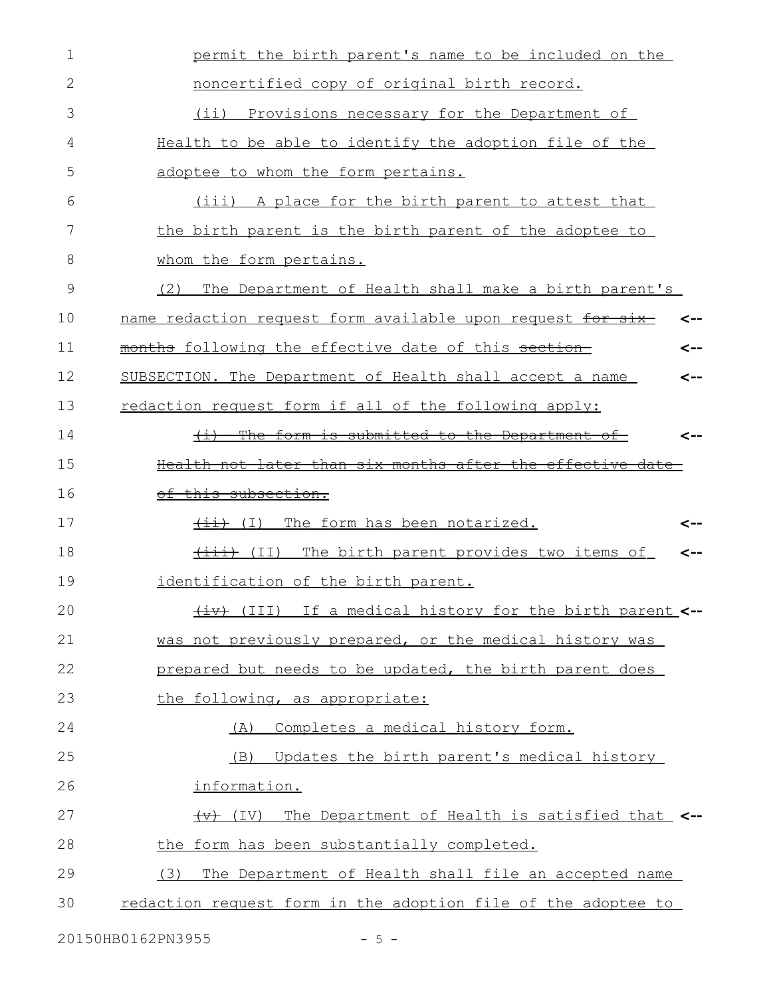| $\mathbf 1$ | permit the birth parent's name to be included on the                    |
|-------------|-------------------------------------------------------------------------|
| 2           | noncertified copy of original birth record.                             |
| 3           | Provisions necessary for the Department of<br>$(i$ i)                   |
| 4           | Health to be able to identify the adoption file of the                  |
| 5           | adoptee to whom the form pertains.                                      |
| 6           | (iii) A place for the birth parent to attest that                       |
| 7           | the birth parent is the birth parent of the adoptee to                  |
| 8           | whom the form pertains.                                                 |
| 9           | The Department of Health shall make a birth parent's<br>(2)             |
| 10          | name redaction request form available upon request for six-<br>⊂--      |
| 11          | months following the effective date of this section<br><--              |
| 12          | SUBSECTION. The Department of Health shall accept a name<br><--         |
| 13          | redaction request form if all of the following apply:                   |
| 14          | (i) The form is submitted to the Department of<br><--                   |
| 15          | Health not later than six months after the effective date               |
| 16          | of this subsection.                                                     |
| 17          | (I) The form has been notarized.<br><--                                 |
| 18          | (iii) (II) The birth parent provides two items of<br><--                |
| 19          | identification of the birth parent.                                     |
| 20          | (III) If a medical history for the birth parent <--                     |
| 21          | was not previously prepared, or the medical history was                 |
| 22          | prepared but needs to be updated, the birth parent does                 |
| 23          | the following, as appropriate:                                          |
| 24          | Completes a medical history form.<br>(A)                                |
| 25          | Updates the birth parent's medical history<br>(B)                       |
| 26          | information.                                                            |
| 27          | The Department of Health is satisfied that <--<br>$\overline{(+)}$ (IV) |
| 28          | the form has been substantially completed.                              |
| 29          | (3)<br>The Department of Health shall file an accepted name             |
| 30          | redaction request form in the adoption file of the adoptee to           |
|             |                                                                         |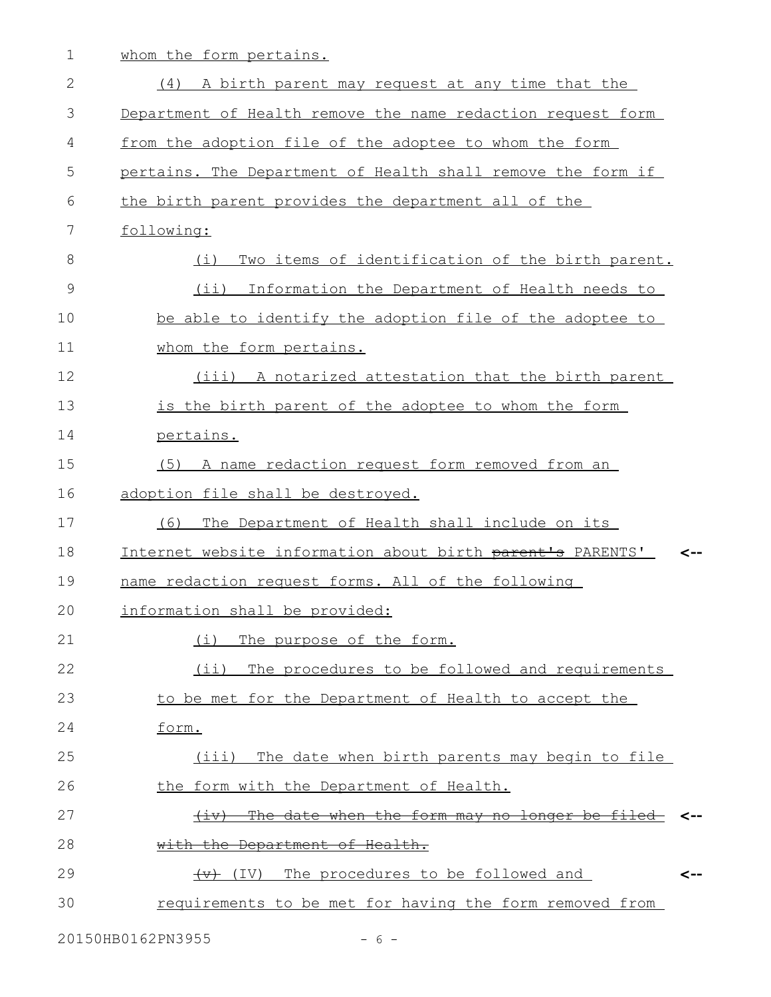1 whom the form pertains.

| $\overline{2}$ | (4) A birth parent may request at any time that the               |     |
|----------------|-------------------------------------------------------------------|-----|
| 3              | Department of Health remove the name redaction request form       |     |
| 4              | from the adoption file of the adoptee to whom the form            |     |
| 5              | pertains. The Department of Health shall remove the form if       |     |
| 6              | the birth parent provides the department all of the               |     |
| 7              | following:                                                        |     |
| 8              | Two items of identification of the birth parent.<br>(i)           |     |
| $\mathcal{G}$  | (ii) Information the Department of Health needs to                |     |
| 10             | be able to identify the adoption file of the adoptee to           |     |
| 11             | whom the form pertains.                                           |     |
| 12             | (iii) A notarized attestation that the birth parent               |     |
| 13             | is the birth parent of the adoptee to whom the form               |     |
| 14             | pertains.                                                         |     |
| 15             | A name redaction request form removed from an<br>(5)              |     |
| 16             | adoption file shall be destroyed.                                 |     |
| 17             | (6)<br>The Department of Health shall include on its              |     |
| 18             | Internet website information about birth parent's PARENTS'        | <-- |
| 19             | name redaction request forms. All of the following                |     |
| 20             | information shall be provided:                                    |     |
| 21             | (i)<br>The purpose of the form.                                   |     |
| 22             | (i)<br>The procedures to be followed and requirements             |     |
| 23             | to be met for the Department of Health to accept the              |     |
| 24             | form.                                                             |     |
| 25             | The date when birth parents may begin to file<br>(iii)            |     |
| 26             | the form with the Department of Health.                           |     |
| 27             | The date when the form may no longer be filed-<br><del>(1v)</del> |     |
| 28             | with the Department of Health.                                    |     |
| 29             | (IV) The procedures to be followed and                            | <-- |
| 30             | requirements to be met for having the form removed from           |     |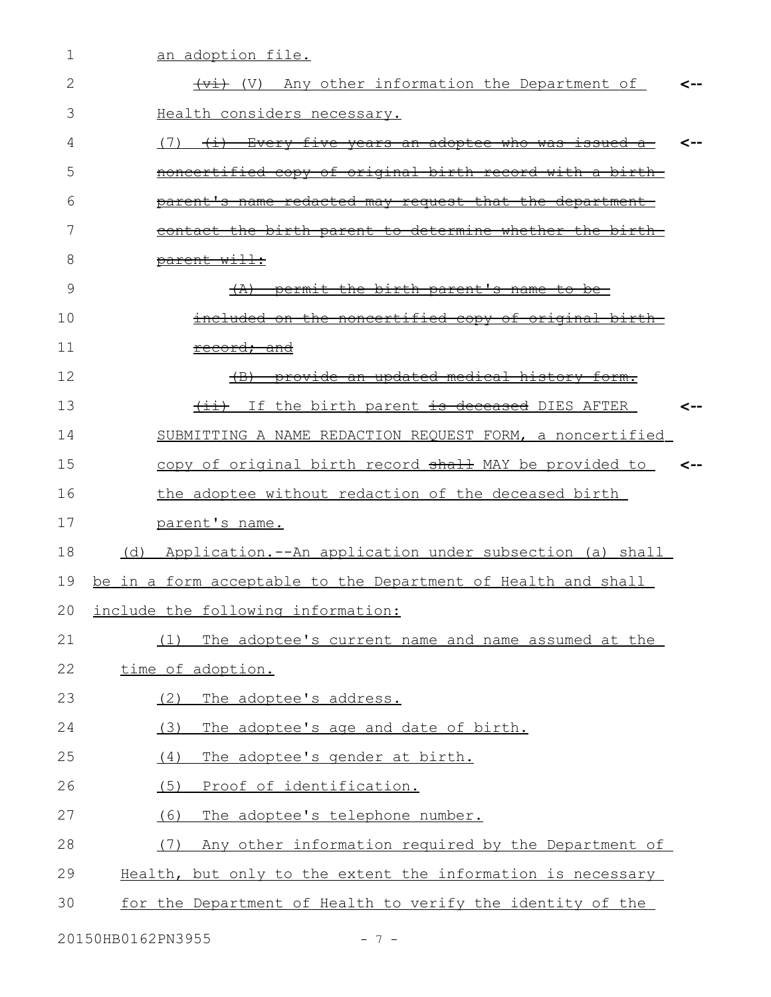| 1  | an adoption file.                                                                      |  |
|----|----------------------------------------------------------------------------------------|--|
| 2  | $\overline{+v}$ (V) Any other information the Department of                            |  |
| 3  | Health considers necessary.                                                            |  |
| 4  | <u>(7) <del>(i) Every five years an adoptee who was issued a-</del></u>                |  |
| 5  | noncertified copy of original birth record with a birth-                               |  |
| 6  | <u>parent's name redacted may request that the department-</u>                         |  |
| 7  | contact the birth parent to determine whether the birth                                |  |
| 8  | parent will:                                                                           |  |
| 9  | $(A)$ permit the birth parent's name to be-                                            |  |
| 10 | included on the noncertified copy of original birth-                                   |  |
| 11 | record; and                                                                            |  |
| 12 | provide an updated medical history form.<br>$\left( \mathrm{B} \right)$                |  |
| 13 | $\overline{\{ \pm \bot \}}$ If the birth parent $\overline{\pm s}$ deceased DIES AFTER |  |
| 14 | SUBMITTING A NAME REDACTION REQUEST FORM, a noncertified                               |  |
| 15 | copy of original birth record shall MAY be provided to                                 |  |
| 16 | the adoptee without redaction of the deceased birth                                    |  |
| 17 | parent's name.                                                                         |  |
| 18 | (d) Application.--An application under subsection (a) shall                            |  |
| 19 | be in a form acceptable to the Department of Health and shall                          |  |
| 20 | include the following information:                                                     |  |
| 21 | The adoptee's current name and name assumed at the<br>(1)                              |  |
| 22 | time of adoption.                                                                      |  |
| 23 | The adoptee's address.<br>(2)                                                          |  |
| 24 | The adoptee's age and date of birth.<br>(3)                                            |  |
| 25 | (4)<br>The adoptee's gender at birth.                                                  |  |
| 26 | (5)<br>Proof of identification.                                                        |  |
| 27 | (6)<br>The adoptee's telephone number.                                                 |  |
| 28 | Any other information required by the Department of<br>(7)                             |  |
| 29 | Health, but only to the extent the information is necessary                            |  |
| 30 | for the Department of Health to verify the identity of the                             |  |